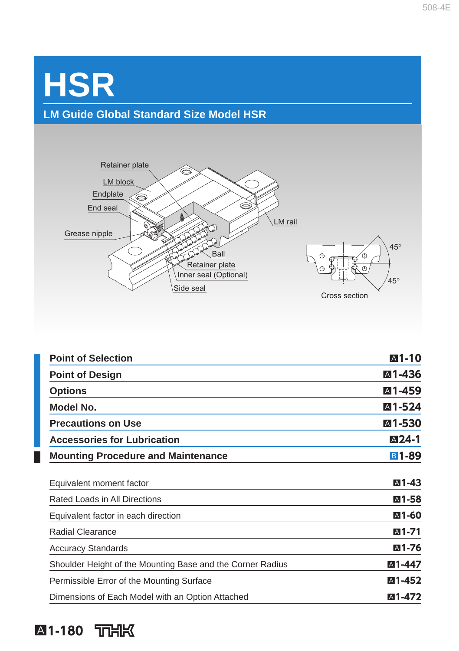# **HSR LM Guide Global Standard Size Model HSR**



| <b>Point of Selection</b>                                  | A1-10              |
|------------------------------------------------------------|--------------------|
| <b>Point of Design</b>                                     | ⊠1-436             |
| <b>Options</b>                                             | ⊠1-459             |
| Model No.                                                  | <b>A1-524</b>      |
| <b>Precautions on Use</b>                                  | ⊠1-530             |
| <b>Accessories for Lubrication</b>                         | A <sub>24</sub> -1 |
| <b>Mounting Procedure and Maintenance</b>                  | <b>B1-89</b>       |
| Equivalent moment factor                                   | A1-43              |
| Rated Loads in All Directions                              | A1-58              |
| Equivalent factor in each direction                        | <b>A1-60</b>       |
| <b>Radial Clearance</b>                                    | A <sub>1</sub> -71 |
| <b>Accuracy Standards</b>                                  | A1-76              |
| Shoulder Height of the Mounting Base and the Corner Radius | ⊠1-447             |
| Permissible Error of the Mounting Surface                  | <b>A1-452</b>      |
| Dimensions of Each Model with an Option Attached           | ⊠1-472             |
|                                                            |                    |

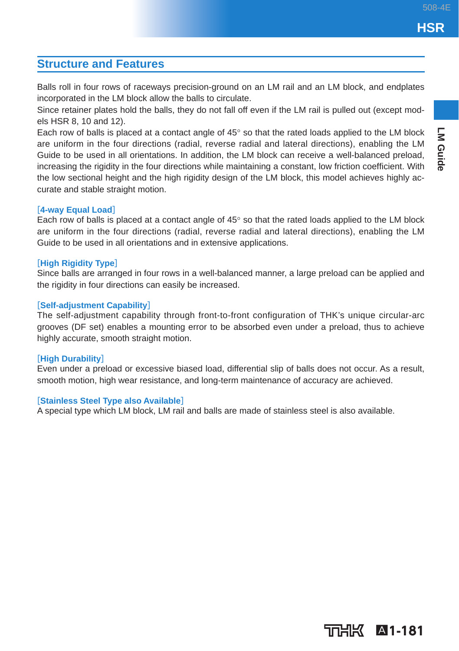**LM Guide** 

### **Structure and Features**

Balls roll in four rows of raceways precision-ground on an LM rail and an LM block, and endplates incorporated in the LM block allow the balls to circulate.

Since retainer plates hold the balls, they do not fall off even if the LM rail is pulled out (except models HSR 8, 10 and 12).

Each row of balls is placed at a contact angle of 45° so that the rated loads applied to the LM block are uniform in the four directions (radial, reverse radial and lateral directions), enabling the LM Guide to be used in all orientations. In addition, the LM block can receive a well-balanced preload, increasing the rigidity in the four directions while maintaining a constant, low friction coefficient. With the low sectional height and the high rigidity design of the LM block, this model achieves highly accurate and stable straight motion.

### [**4-way Equal Load**]

Each row of balls is placed at a contact angle of  $45^{\circ}$  so that the rated loads applied to the LM block are uniform in the four directions (radial, reverse radial and lateral directions), enabling the LM Guide to be used in all orientations and in extensive applications.

### [**High Rigidity Type**]

Since balls are arranged in four rows in a well-balanced manner, a large preload can be applied and the rigidity in four directions can easily be increased.

### [**Self-adjustment Capability**]

The self-adjustment capability through front-to-front configuration of THK's unique circular-arc grooves (DF set) enables a mounting error to be absorbed even under a preload, thus to achieve highly accurate, smooth straight motion.

### [**High Durability**]

Even under a preload or excessive biased load, differential slip of balls does not occur. As a result, smooth motion, high wear resistance, and long-term maintenance of accuracy are achieved.

### [**Stainless Steel Type also Available**]

A special type which LM block, LM rail and balls are made of stainless steel is also available.

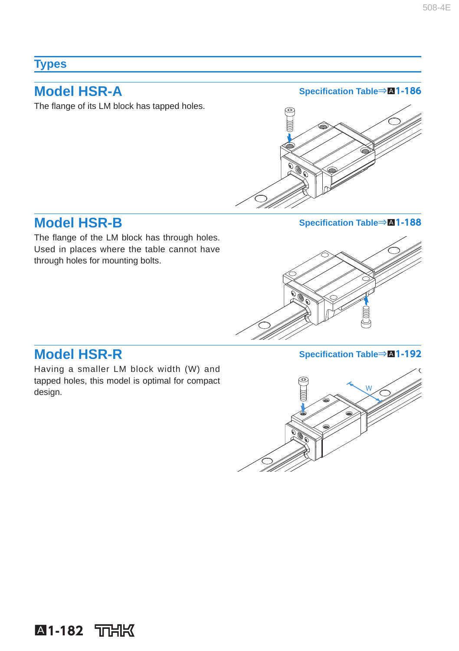### **Types**

The flange of its LM block has tapped holes.

**Model HSR-A** Specification Table⇒M1-186



The flange of the LM block has through holes. Used in places where the table cannot have through holes for mounting bolts.

**Model HSR-B** Specification Table⇒M1-188



Having a smaller LM block width (W) and tapped holes, this model is optimal for compact design.

**Model HSR-R** Specification Table⇒M1-192

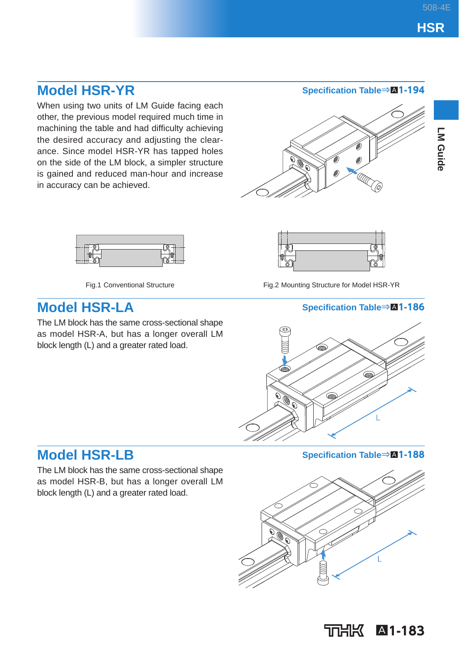## **Model HSR-YR** Specification Table⇒A1-194

When using two units of LM Guide facing each other, the previous model required much time in machining the table and had difficulty achieving the desired accuracy and adjusting the clearance. Since model HSR-YR has tapped holes on the side of the LM block, a simpler structure is gained and reduced man-hour and increase in accuracy can be achieved.







The LM block has the same cross-sectional shape as model HSR-A, but has a longer overall LM block length (L) and a greater rated load.



Fig.1 Conventional Structure Fig.2 Mounting Structure for Model HSR-YR

### **Model HSR-LA** Specification Table⇒M1-186



The LM block has the same cross-sectional shape as model HSR-B, but has a longer overall LM block length (L) and a greater rated load.

**Model HSR-LB** Specification Table⇒M1-188



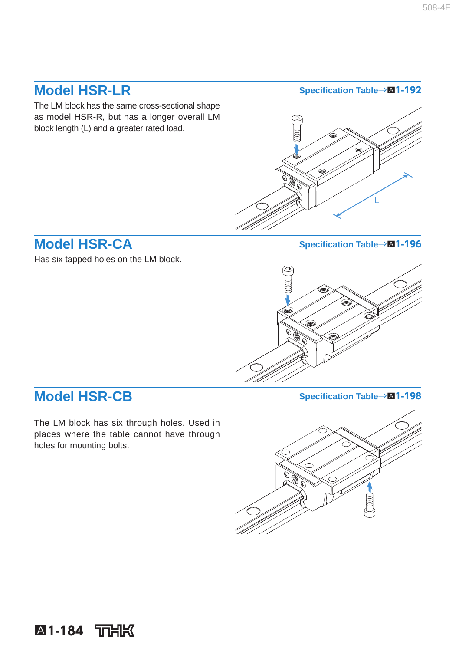The LM block has the same cross-sectional shape as model HSR-R, but has a longer overall LM block length (L) and a greater rated load.

### **Model HSR-LR Specifi cation Table**⇒A**1-192**



### **Model HSR-CA** Specification Table⇒M1-196

Has six tapped holes on the LM block.



## **Model HSR-CB Specifi cation Table**⇒A**1-198**

The LM block has six through holes. Used in places where the table cannot have through holes for mounting bolts.

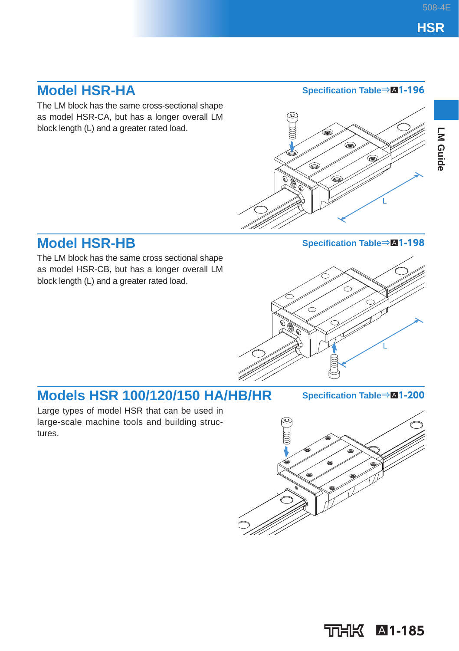The LM block has the same cross-sectional shape as model HSR-CA, but has a longer overall LM block length (L) and a greater rated load.

### **Model HSR-HA** Specification Table⇒A1-196



### **Model HSR-HB** Specification Table⇒M1-198

The LM block has the same cross sectional shape as model HSR-CB, but has a longer overall LM block length (L) and a greater rated load.



## **Models HSR 100/120/150 HA/HB/HR** Specification Table⇒M1-200

Large types of model HSR that can be used in large-scale machine tools and building structures.



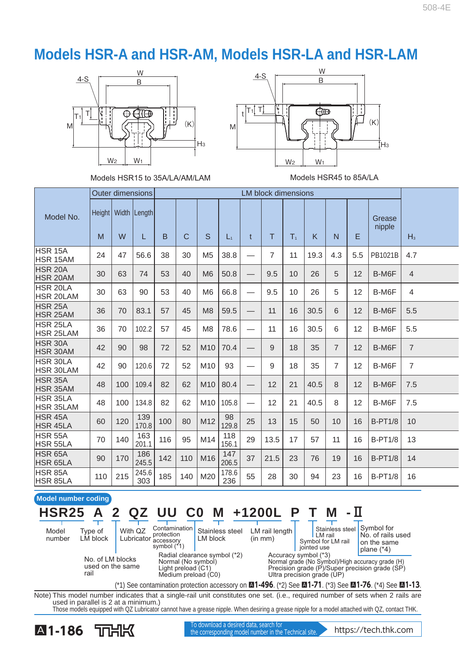## **Models HSR-A and HSR-AM, Models HSR-LA and HSR-LAM**







|                                   |               |     | <b>Outer dimensions</b> |     |     |                 |              |                          | <b>LM block dimensions</b> |                |      |                |     |                  |                |
|-----------------------------------|---------------|-----|-------------------------|-----|-----|-----------------|--------------|--------------------------|----------------------------|----------------|------|----------------|-----|------------------|----------------|
| Model No.                         | Height  <br>M | W   | Width Length<br>L       | B   | C   | S               | $L_1$        | $\mathbf{t}$             | T                          | T <sub>1</sub> | K    | N              | E   | Grease<br>nipple | $H_3$          |
| HSR 15A<br>HSR 15AM               | 24            | 47  | 56.6                    | 38  | 30  | M <sub>5</sub>  | 38.8         | -                        | $\overline{7}$             | 11             | 19.3 | 4.3            | 5.5 | PB1021B          | 4.7            |
| HSR <sub>20</sub> A<br>HSR 20AM   | 30            | 63  | 74                      | 53  | 40  | M6              | 50.8         | —                        | 9.5                        | 10             | 26   | 5              | 12  | B-M6F            | $\overline{4}$ |
| HSR 20LA<br><b>HSR 20LAM</b>      | 30            | 63  | 90                      | 53  | 40  | M <sub>6</sub>  | 66.8         |                          | 9.5                        | 10             | 26   | 5              | 12  | B-M6F            | $\overline{4}$ |
| <b>HSR 25A</b><br><b>HSR 25AM</b> | 36            | 70  | 83.1                    | 57  | 45  | M8              | 59.5         | —                        | 11                         | 16             | 30.5 | 6              | 12  | B-M6F            | 5.5            |
| HSR 25LA<br><b>HSR 25LAM</b>      | 36            | 70  | 102.2                   | 57  | 45  | M <sub>8</sub>  | 78.6         | -                        | 11                         | 16             | 30.5 | 6              | 12  | B-M6F            | 5.5            |
| HSR 30A<br><b>HSR 30AM</b>        | 42            | 90  | 98                      | 72  | 52  | M <sub>10</sub> | 70.4         |                          | 9                          | 18             | 35   | $\overline{7}$ | 12  | B-M6F            | $\overline{7}$ |
| HSR 30LA<br><b>HSR 30LAM</b>      | 42            | 90  | 120.6                   | 72  | 52  | M10             | 93           | -                        | 9                          | 18             | 35   | $\overline{7}$ | 12  | B-M6F            | $\overline{7}$ |
| HSR 35A<br>HSR 35AM               | 48            | 100 | 109.4                   | 82  | 62  | M10             | 80.4         | —                        | 12                         | 21             | 40.5 | 8              | 12  | B-M6F            | 7.5            |
| HSR 35LA<br><b>HSR 35LAM</b>      | 48            | 100 | 134.8                   | 82  | 62  | M10             | 105.8        | $\overline{\phantom{0}}$ | 12                         | 21             | 40.5 | 8              | 12  | B-M6F            | 7.5            |
| HSR 45A<br><b>HSR 45LA</b>        | 60            | 120 | 139<br>170.8            | 100 | 80  | M12             | 98<br>129.8  | 25                       | 13                         | 15             | 50   | 10             | 16  | <b>B-PT1/8</b>   | 10             |
| HSR 55A<br>HSR 55LA               | 70            | 140 | 163<br>201.1            | 116 | 95  | M14             | 118<br>156.1 | 29                       | 13.5                       | 17             | 57   | 11             | 16  | <b>B-PT1/8</b>   | 13             |
| HSR 65A<br>HSR 65LA               | 90            | 170 | 186<br>245.5            | 142 | 110 | M16             | 147<br>206.5 | 37                       | 21.5                       | 23             | 76   | 19             | 16  | <b>B-PT1/8</b>   | 14             |
| HSR 85A<br><b>HSR 85LA</b>        | 110           | 215 | 245.6<br>303            | 185 | 140 | M20             | 178.6<br>236 | 55                       | 28                         | 30             | 94   | 23             | 16  | <b>B-PT1/8</b>   | 16             |

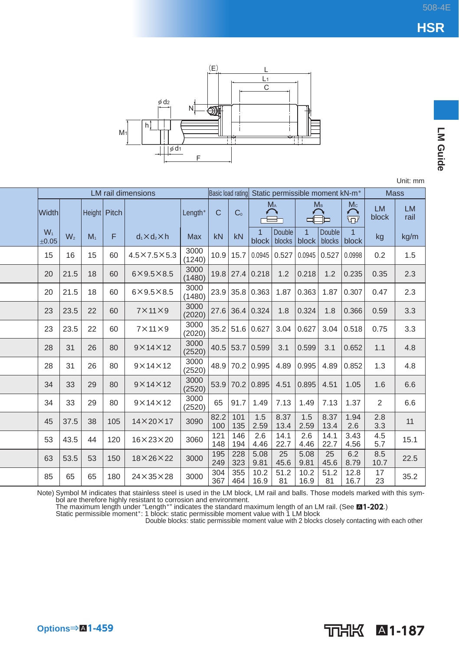**LM Guide** 



Unit: mm

|                |                |                |     | <b>LM</b> rail dimensions |                | Basic load rating |                |                         | Static permissible moment kN-m <sup>*</sup> |                         |                  |                         | <b>Mass</b>        |                   |
|----------------|----------------|----------------|-----|---------------------------|----------------|-------------------|----------------|-------------------------|---------------------------------------------|-------------------------|------------------|-------------------------|--------------------|-------------------|
| <b>Width</b>   |                | Height Pitch   |     |                           | Length*        | $\mathsf{C}$      | C <sub>0</sub> |                         | $M_A$                                       | M <sub>B</sub>          |                  | Mc<br>⌒<br>$\varpi$     | <b>LM</b><br>block | <b>LM</b><br>rail |
| $W_1$<br>±0.05 | W <sub>2</sub> | M <sub>1</sub> | F   | $d_1 \times d_2 \times h$ | <b>Max</b>     | kN                | kN             | $\overline{1}$<br>block | <b>Double</b><br>blocks                     | $\overline{1}$<br>block | Double<br>blocks | $\overline{1}$<br>block | kg                 | kg/m              |
| 15             | 16             | 15             | 60  | $4.5\times7.5\times5.3$   | 3000<br>(1240) | 10.9              | 15.7           | 0.0945                  | 0.527                                       | 0.0945                  | 0.527            | 0.0998                  | 0.2                | 1.5               |
| 20             | 21.5           | 18             | 60  | $6\times9.5\times8.5$     | 3000<br>(1480) | 19.8              | 27.4           | 0.218                   | 1.2                                         | 0.218                   | 1.2              | 0.235                   | 0.35               | 2.3               |
| 20             | 21.5           | 18             | 60  | $6\times9.5\times8.5$     | 3000<br>(1480) | 23.9              |                | 35.8 0.363              | 1.87                                        | 0.363                   | 1.87             | 0.307                   | 0.47               | 2.3               |
| 23             | 23.5           | 22             | 60  | $7 \times 11 \times 9$    | 3000<br>(2020) | 27.6              |                | 36.4 0.324              | 1.8                                         | 0.324                   | 1.8              | 0.366                   | 0.59               | 3.3               |
| 23             | 23.5           | 22             | 60  | $7 \times 11 \times 9$    | 3000<br>(2020) | 35.2              |                | 51.6 0.627              | 3.04                                        | 0.627                   | 3.04             | 0.518                   | 0.75               | 3.3               |
| 28             | 31             | 26             | 80  | $9 \times 14 \times 12$   | 3000<br>(2520) |                   |                | $40.5$ 53.7 0.599       | 3.1                                         | 0.599                   | 3.1              | 0.652                   | 1.1                | 4.8               |
| 28             | 31             | 26             | 80  | $9 \times 14 \times 12$   | 3000<br>(2520) | 48.9              |                | 70.2 0.995              | 4.89                                        | 0.995                   | 4.89             | 0.852                   | 1.3                | 4.8               |
| 34             | 33             | 29             | 80  | $9 \times 14 \times 12$   | 3000<br>(2520) | 53.9              |                | 70.2 0.895              | 4.51                                        | 0.895                   | 4.51             | 1.05                    | 1.6                | 6.6               |
| 34             | 33             | 29             | 80  | $9 \times 14 \times 12$   | 3000<br>(2520) | 65                | 91.7           | 1.49                    | 7.13                                        | 1.49                    | 7.13             | 1.37                    | 2                  | 6.6               |
| 45             | 37.5           | 38             | 105 | $14\times20\times17$      | 3090           | 82.2<br>100       | 101<br>135     | 1.5<br>2.59             | 8.37<br>13.4                                | 1.5<br>2.59             | 8.37<br>13.4     | 1.94<br>2.6             | 2.8<br>3.3         | 11                |
| 53             | 43.5           | 44             | 120 | $16 \times 23 \times 20$  | 3060           | 121<br>148        | 146<br>194     | 2.6<br>4.46             | 14.1<br>22.7                                | 2.6<br>4.46             | 14.1<br>22.7     | 3.43<br>4.56            | 4.5<br>5.7         | 15.1              |
| 63             | 53.5           | 53             | 150 | $18\times26\times22$      | 3000           | 195<br>249        | 228<br>323     | 5.08<br>9.81            | 25<br>45.6                                  | 5.08<br>9.81            | 25<br>45.6       | 6.2<br>8.79             | 8.5<br>10.7        | 22.5              |
| 85             | 65             | 65             | 180 | $24 \times 35 \times 28$  | 3000           | 304<br>367        | 355<br>464     | 10.2<br>16.9            | 51.2<br>81                                  | 10.2<br>16.9            | 51.2<br>81       | 12.8<br>16.7            | 17<br>23           | 35.2              |

Note) Symbol M indicates that stainless steel is used in the LM block, LM rail and balls. Those models marked with this symbol are therefore highly resistant to corrosion and environment.<br>The maximum length under "Length\*" indicates the standard maximum length of an LM rail. (See **⊠1-202**.)<br>Static permissible moment\*: 1 block: static permissi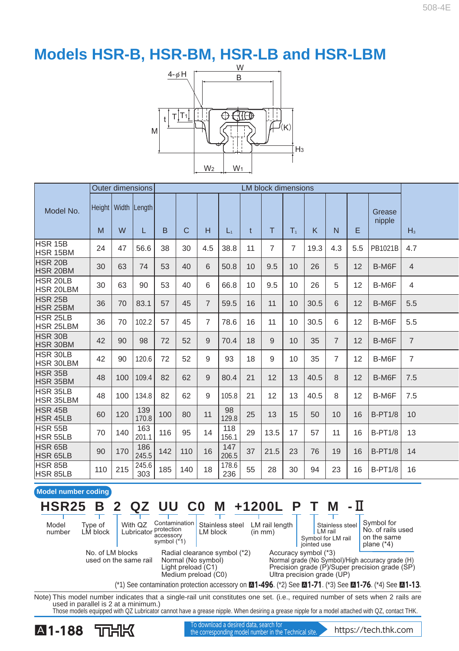

|                                   |     |     | <b>Outer dimensions</b>      |     |     |                |              |              | <b>LM block dimensions</b> |                |      |                |     |                  |                |
|-----------------------------------|-----|-----|------------------------------|-----|-----|----------------|--------------|--------------|----------------------------|----------------|------|----------------|-----|------------------|----------------|
| Model No.                         | M   | W   | Height   Width   Length<br>L | B   | C   | н              | $L_1$        | $\mathsf{t}$ | T                          | T <sub>1</sub> | K    | N              | F   | Grease<br>nipple | H <sub>3</sub> |
| HSR 15B<br>HSR 15BM               | 24  | 47  | 56.6                         | 38  | 30  | 4.5            | 38.8         | 11           | $\overline{7}$             | $\overline{7}$ | 19.3 | 4.3            | 5.5 | PB1021B          | 4.7            |
| HSR 20B<br>HSR 20BM               | 30  | 63  | 74                           | 53  | 40  | 6              | 50.8         | 10           | 9.5                        | 10             | 26   | 5              | 12  | B-M6F            | $\overline{4}$ |
| HSR 20LB<br>HSR 20LBM             | 30  | 63  | 90                           | 53  | 40  | 6              | 66.8         | 10           | 9.5                        | 10             | 26   | 5              | 12  | B-M6F            | $\overline{4}$ |
| HSR 25B<br>HSR 25BM               | 36  | 70  | 83.1                         | 57  | 45  | $\overline{7}$ | 59.5         | 16           | 11                         | 10             | 30.5 | 6              | 12  | B-M6F            | 5.5            |
| HSR 25LB<br>HSR 25LBM             | 36  | 70  | 102.2                        | 57  | 45  | $\overline{7}$ | 78.6         | 16           | 11                         | 10             | 30.5 | 6              | 12  | B-M6F            | 5.5            |
| HSR 30B<br>HSR 30BM               | 42  | 90  | 98                           | 72  | 52  | 9              | 70.4         | 18           | 9                          | 10             | 35   | $\overline{7}$ | 12  | B-M6F            | $\overline{7}$ |
| HSR 30LB<br>HSR 30LBM             | 42  | 90  | 120.6                        | 72  | 52  | 9              | 93           | 18           | 9                          | 10             | 35   | $\overline{7}$ | 12  | B-M6F            | $\overline{7}$ |
| HSR 35B<br><b>HSR 35BM</b>        | 48  | 100 | 109.4                        | 82  | 62  | 9              | 80.4         | 21           | 12                         | 13             | 40.5 | 8              | 12  | B-M6F            | 7.5            |
| HSR 35LB<br>HSR 35LBM             | 48  | 100 | 134.8                        | 82  | 62  | 9              | 105.8        | 21           | 12                         | 13             | 40.5 | 8              | 12  | B-M6F            | 7.5            |
| HSR 45B<br><b>HSR 45LB</b>        | 60  | 120 | 139<br>170.8                 | 100 | 80  | 11             | 98<br>129.8  | 25           | 13                         | 15             | 50   | 10             | 16  | <b>B-PT1/8</b>   | 10             |
| <b>HSR 55B</b><br>HSR 55LB        | 70  | 140 | 163<br>201.1                 | 116 | 95  | 14             | 118<br>156.1 | 29           | 13.5                       | 17             | 57   | 11             | 16  | <b>B-PT1/8</b>   | 13             |
| <b>HSR 65B</b><br>HSR 65LB        | 90  | 170 | 186<br>245.5                 | 142 | 110 | 16             | 147<br>206.5 | 37           | 21.5                       | 23             | 76   | 19             | 16  | <b>B-PT1/8</b>   | 14             |
| <b>HSR 85B</b><br><b>HSR 85LB</b> | 110 | 215 | 245.6<br>303                 | 185 | 140 | 18             | 178.6<br>236 | 55           | 28                         | 30             | 94   | 23             | 16  | <b>B-PT1/8</b>   | 16             |



Note) This model number indicates that a single-rail unit constitutes one set. (i.e., required number of sets when 2 rails are used in parallel is 2 at a minimum.) Those models equipped with QZ Lubricator cannot have a grease nipple. When desiring a grease nipple for a model attached with QZ, contact THK.

**A1-188** TOHK the corresponding model number in the Technical site. https://tech.thk.com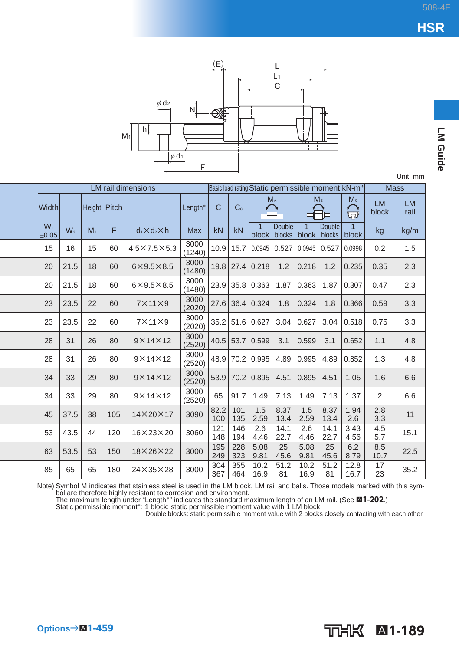**LM Guide** 



|                |       |              |     | <b>LM</b> rail dimensions |                |             |                |                 |                         |              |                                 | Basic load rating Static permissible moment kN-m <sup>*</sup> | <b>Mass</b>        |                   |
|----------------|-------|--------------|-----|---------------------------|----------------|-------------|----------------|-----------------|-------------------------|--------------|---------------------------------|---------------------------------------------------------------|--------------------|-------------------|
| <b>Width</b>   |       | Height Pitch |     |                           | Length*        | C           | C <sub>0</sub> | M <sub>A</sub>  |                         |              | M <sub>B</sub>                  | Mc<br>ଳ                                                       | <b>LM</b><br>block | <b>LM</b><br>rail |
| $W_1$<br>±0.05 | $W_2$ | $M_1$        | F   | $d_1 \times d_2 \times h$ | Max            | kN          | kN             | 1<br>block      | <b>Double</b><br>blocks | $\mathbf{1}$ | <b>Double</b><br>block   blocks | 1<br>block                                                    | kg                 | kg/m              |
| 15             | 16    | 15           | 60  | $4.5\times7.5\times5.3$   | 3000<br>(1240) | 10.9        | 15.7           | 0.0945          | 0.527                   | 0.0945       | 0.527                           | 0.0998                                                        | 0.2                | 1.5               |
| 20             | 21.5  | 18           | 60  | $6\times9.5\times8.5$     | 3000<br>(1480) | 19.8        |                | 27.4 0.218      | 1.2                     | 0.218        | 1.2                             | 0.235                                                         | 0.35               | 2.3               |
| 20             | 21.5  | 18           | 60  | $6\times9.5\times8.5$     | 3000<br>(1480) | 23.9        |                | 35.8 0.363      | 1.87                    | 0.363        | 1.87                            | 0.307                                                         | 0.47               | 2.3               |
| 23             | 23.5  | 22           | 60  | $7 \times 11 \times 9$    | 3000<br>(2020) | 27.6        |                | 36.4 0.324      | 1.8                     | 0.324        | 1.8                             | 0.366                                                         | 0.59               | 3.3               |
| 23             | 23.5  | 22           | 60  | $7 \times 11 \times 9$    | 3000<br>(2020) |             |                | 35.2 51.6 0.627 | 3.04                    | 0.627        | 3.04                            | 0.518                                                         | 0.75               | 3.3               |
| 28             | 31    | 26           | 80  | $9 \times 14 \times 12$   | 3000<br>(2520) | 40.5        |                | 53.7 0.599      | 3.1                     | 0.599        | 3.1                             | 0.652                                                         | 1.1                | 4.8               |
| 28             | 31    | 26           | 80  | $9 \times 14 \times 12$   | 3000<br>(2520) | 48.9        |                | 70.2 0.995      | 4.89                    | 0.995        | 4.89                            | 0.852                                                         | 1.3                | 4.8               |
| 34             | 33    | 29           | 80  | $9 \times 14 \times 12$   | 3000<br>(2520) | 53.9        |                | 70.2 0.895      | 4.51                    | 0.895        | 4.51                            | 1.05                                                          | 1.6                | 6.6               |
| 34             | 33    | 29           | 80  | $9 \times 14 \times 12$   | 3000<br>(2520) | 65          | 91.7           | 1.49            | 7.13                    | 1.49         | 7.13                            | 1.37                                                          | 2                  | 6.6               |
| 45             | 37.5  | 38           | 105 | $14\times20\times17$      | 3090           | 82.2<br>100 | 101<br>135     | 1.5<br>2.59     | 8.37<br>13.4            | 1.5<br>2.59  | 8.37<br>13.4                    | 1.94<br>2.6                                                   | 2.8<br>3.3         | 11                |
| 53             | 43.5  | 44           | 120 | $16 \times 23 \times 20$  | 3060           | 121<br>148  | 146<br>194     | 2.6<br>4.46     | 14.1<br>22.7            | 2.6<br>4.46  | 14.1<br>22.7                    | 3.43<br>4.56                                                  | 4.5<br>5.7         | 15.1              |
| 63             | 53.5  | 53           | 150 | $18\times26\times22$      | 3000           | 195<br>249  | 228<br>323     | 5.08<br>9.81    | 25<br>45.6              | 5.08<br>9.81 | 25<br>45.6                      | 6.2<br>8.79                                                   | 8.5<br>10.7        | 22.5              |
| 85             | 65    | 65           | 180 | $24 \times 35 \times 28$  | 3000           | 304<br>367  | 355<br>464     | 10.2<br>16.9    | 51.2<br>81              | 10.2<br>16.9 | 51.2<br>81                      | 12.8<br>16.7                                                  | 17<br>23           | 35.2              |

Note) Symbol M indicates that stainless steel is used in the LM block, LM rail and balls. Those models marked with this symbol are therefore highly resistant to corrosion and environment.<br>The maximum length under "Length\*"

Double blocks: static permissible moment value with 2 blocks closely contacting with each other

A**1-189**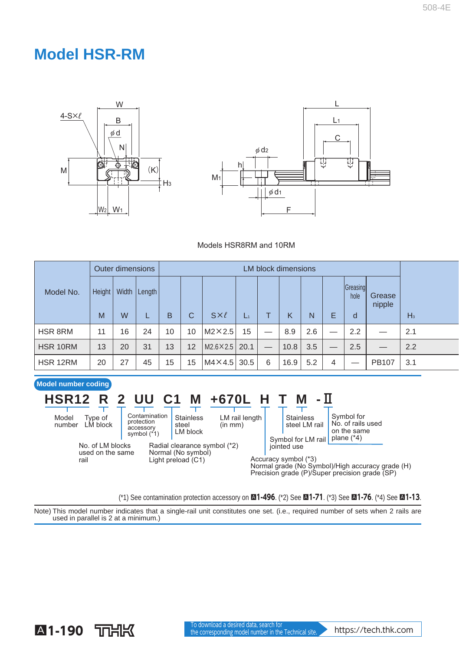## **Model HSR-RM**





#### Models HSR8RM and 10RM

|           |        | <b>Outer dimensions</b> |        |    |    |                        |       |   | <b>LM block dimensions</b> |     |    |                  |                  |       |
|-----------|--------|-------------------------|--------|----|----|------------------------|-------|---|----------------------------|-----|----|------------------|------------------|-------|
| Model No. | Height | Width<br>W              | Length |    |    |                        |       |   |                            |     |    | Greasing<br>hole | Grease<br>nipple |       |
|           | M      |                         |        | B  | C  | $S \times \ell$        | $L_1$ |   | K                          | N   | E  | d                |                  | $H_3$ |
| HSR 8RM   | 11     | 16                      | 24     | 10 | 10 | $M2\times2.5$          | 15    |   | 8.9                        | 2.6 | __ | 2.2              |                  | 2.1   |
| HSR 10RM  | 13     | 20                      | 31     | 13 | 12 | $M2.6 \times 2.5$ 20.1 |       |   | 10.8                       | 3.5 | _  | 2.5              |                  | 2.2   |
| HSR 12RM  | 20     | 27                      | 45     | 15 | 15 | $MA \times 4.5$        | 30.5  | 6 | 16.9                       | 5.2 | 4  |                  | <b>PB107</b>     | 3.1   |

#### LM rail length (in mm) Contamination protection accessory symbol (\*1) Stainless steel **Stainless** Type of number LM block Model **HSR12 R 2 UU C1 M +670L H T M -**Ⅱ

No. of LM blocks used on the same rail

**Model number coding**

LM block Radial clearance symbol (\*2) Normal (No symbol) Light preload (C1)

Symbol for No. of rails used on the same Symbol for LM rail plane (\*4) jointed use steel LM rail

Accuracy symbol (\*3) Normal grade (No Symbol)/High accuracy grade (H) Precision grade (P)/Super precision grade (SP)

(\*1) See contamination protection accessory on A**1-496** . (\*2) See A**1-71** . (\*3) See A**1-76** . (\*4) See A**1-13** .

Note) This model number indicates that a single-rail unit constitutes one set. (i.e., required number of sets when 2 rails are used in parallel is 2 at a minimum.)

## **A1-190** TOHK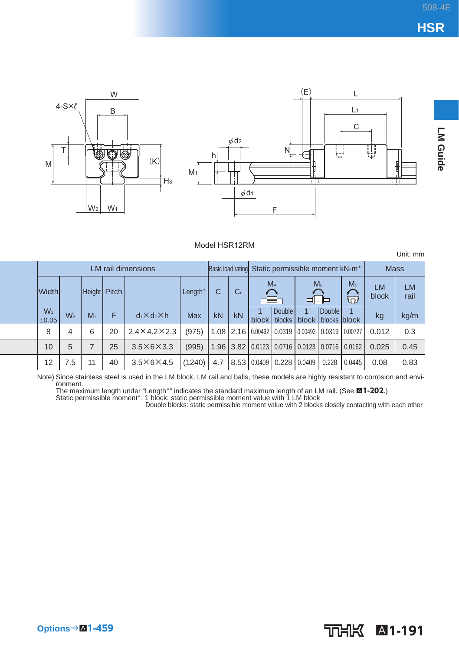Unit: mm



#### Model HSR12RM

LM rail dimensions **Basic load rating Static permissible moment kN-m<sup>\*</sup> Mass**  $M_A$   $M_B$   $M_C$   $LM$  LM  $|Width|$  Height Pitch Length\* C C<sub>o</sub> block rail দৌ **Double**  $W_1$ <br>+0.05 **Double**  1 1  $\begin{array}{c|c|c|c|c|c} W_1 & W_2 & M_1 & F & d_1 \times d_2 \times h & \text{Max} & kN & kN & bloc \end{array}$ block kg kg/m block blocks block blocks 8 | 4 | 6 | 20 | 2.4×4.2×2.3 | (975) |1.08 | 2.16 | 0.00492 | 0.0319 | 0.00492 | 0.0319 | 0.00727 | 0.012 | 0.3 10 | 5 | 7 | 25 | 3.5×6×3.3 | (995) |1.96 |3.82 | 0.0123 | 0.0716 | 0.0123 | 0.0716 | 0.0162 | 0.025 | 0.45 12 | 7.5 | 11 | 40 | 3.5×6×4.5 |(1240)| 4.7 |8.53 |0.0409 | 0.228 | 0.0409 | 0.228 | 0.0445 | 0.08 | 0.83

Note) Since stainless steel is used in the LM block, LM rail and balls, these models are highly resistant to corrosion and environment.

The maximum length under "Length\*" indicates the standard maximum length of an LM rail. (See **⊠1-202**.)<br>Static permissible moment\*: 1 block: static permissible moment value with 1 LM block

Double blocks: static permissible moment value with 2 blocks closely contacting with each other

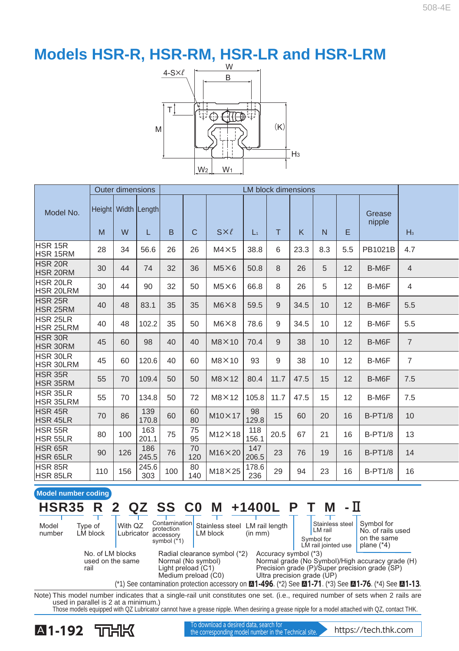## **Models HSR-R, HSR-RM, HSR-LR and HSR-LRM**



|                                     |     | <b>Outer dimensions</b> |                               |     |              |                 |              |              | <b>LM block dimensions</b> |                 |     |                  |                |
|-------------------------------------|-----|-------------------------|-------------------------------|-----|--------------|-----------------|--------------|--------------|----------------------------|-----------------|-----|------------------|----------------|
| Model No.                           | M   | W                       | Height   Width   Length <br>L | B   | $\mathsf{C}$ | $S \times \ell$ | $L_1$        | T.           | K                          | $\overline{N}$  | E   | Grease<br>nipple | H <sub>3</sub> |
| HSR 15R                             |     |                         |                               |     |              |                 |              |              |                            |                 |     |                  |                |
| <b>HSR 15RM</b>                     | 28  | 34                      | 56.6                          | 26  | 26           | $M4 \times 5$   | 38.8         | 6            | 23.3                       | 8.3             | 5.5 | PB1021B          | 4.7            |
| <b>HSR 20R</b><br><b>HSR 20RM</b>   | 30  | 44                      | 74                            | 32  | 36           | $M5\times 6$    | 50.8         | $\mathsf{R}$ | 26                         | 5               | 12  | B-M6F            | $\overline{4}$ |
| <b>HSR 20LR</b><br><b>HSR 20LRM</b> | 30  | 44                      | 90                            | 32  | 50           | $M5\times 6$    | 66.8         | 8            | 26                         | 5               | 12  | B-M6F            | $\overline{4}$ |
| <b>HSR 25R</b><br>HSR 25RM          | 40  | 48                      | 83.1                          | 35  | 35           | $M6 \times 8$   | 59.5         | 9            | 34.5                       | 10              | 12  | B-M6F            | 5.5            |
| <b>HSR 25LR</b><br><b>HSR 25LRM</b> | 40  | 48                      | 102.2                         | 35  | 50           | $M6 \times 8$   | 78.6         | 9            | 34.5                       | 10              | 12  | B-M6F            | 5.5            |
| <b>HSR 30R</b><br>HSR 30RM          | 45  | 60                      | 98                            | 40  | 40           | $M8 \times 10$  | 70.4         | 9            | 38                         | 10 <sup>1</sup> | 12  | B-M6F            | $\overline{7}$ |
| <b>HSR 30LR</b><br><b>HSR 30LRM</b> | 45  | 60                      | 120.6                         | 40  | 60           | $M8 \times 10$  | 93           | 9            | 38                         | 10              | 12  | B-M6F            | $\overline{7}$ |
| <b>HSR 35R</b><br><b>HSR 35RM</b>   | 55  | 70                      | 109.4                         | 50  | 50           | $M8 \times 12$  | 80.4         | 11.7         | 47.5                       | 15              | 12  | B-M6F            | 7.5            |
| <b>HSR 35LR</b><br><b>HSR 35LRM</b> | 55  | 70                      | 134.8                         | 50  | 72           | $M8 \times 12$  | 105.8        | 11.7         | 47.5                       | 15              | 12  | B-M6F            | 7.5            |
| HSR 45R<br><b>HSR 45LR</b>          | 70  | 86                      | 139<br>170.8                  | 60  | 60<br>80     | $M10\times 17$  | 98<br>129.8  | 15           | 60                         | 20              | 16  | <b>B-PT1/8</b>   | 10             |
| HSR 55R<br>HSR 55LR                 | 80  | 100                     | 163<br>201.1                  | 75  | 75<br>95     | $M12\times 18$  | 118<br>156.1 | 20.5         | 67                         | 21              | 16  | <b>B-PT1/8</b>   | 13             |
| HSR 65R<br>HSR 65LR                 | 90  | 126                     | 186<br>245.5                  | 76  | 70<br>120    | $M16\times 20$  | 147<br>206.5 | 23           | 76                         | 19              | 16  | <b>B-PT1/8</b>   | 14             |
| HSR 85R<br><b>HSR 85LR</b>          | 110 | 156                     | 245.6<br>303                  | 100 | 80<br>140    | $M18\times 25$  | 178.6<br>236 | 29           | 94                         | 23              | 16  | <b>B-PT1/8</b>   | 16             |

**Model number coding HSR35 R 2 QZ SS C0 M +1400L P T M -**Ⅱ

| Model<br>number | Tvpe of<br>LM block                          | With QZ<br>Lubricator | accessory<br>symbol (*1)                                                                        | LM block             | Contamination Stainless steel LM rail length<br>(in mm)                                                                          | Stainless steel<br>LM rail<br>Symbol for<br>LM rail jointed use                                                                                    | Symbol for<br>No. of rails used<br>on the same<br>plane $(*4)$                                                               |
|-----------------|----------------------------------------------|-----------------------|-------------------------------------------------------------------------------------------------|----------------------|----------------------------------------------------------------------------------------------------------------------------------|----------------------------------------------------------------------------------------------------------------------------------------------------|------------------------------------------------------------------------------------------------------------------------------|
|                 | No. of LM blocks<br>used on the same<br>rail |                       | Radial clearance symbol (*2)<br>Normal (No symbol)<br>Light preload (C1)<br>Medium preload (C0) | Accuracy symbol (*3) | Normal grade (No Symbol)/High accuracy grade (H)<br>Precision grade (P)/Super precision grade (SP)<br>Ultra precision grade (UP) | (*1) See contamination protection accessory on $\boxtimes$ 1-496. (*2) See $\boxtimes$ 1-71. (*3) See $\boxtimes$ 1-76. (*4) See $\boxtimes$ 1-13. |                                                                                                                              |
|                 |                                              |                       |                                                                                                 |                      |                                                                                                                                  |                                                                                                                                                    |                                                                                                                              |
|                 |                                              |                       |                                                                                                 |                      |                                                                                                                                  |                                                                                                                                                    | Note) This model number indicates that a single-rail unit constitutes one set (i.e. required number of sets when 2 rails are |

Note) This model number indicates that a single-rail unit constitutes one set. (i.e., required number of sets when 2 rails are used in parallel is 2 at a minimum.)

Those models equipped with QZ Lubricator cannot have a grease nipple. When desiring a grease nipple for a model attached with QZ, contact THK.

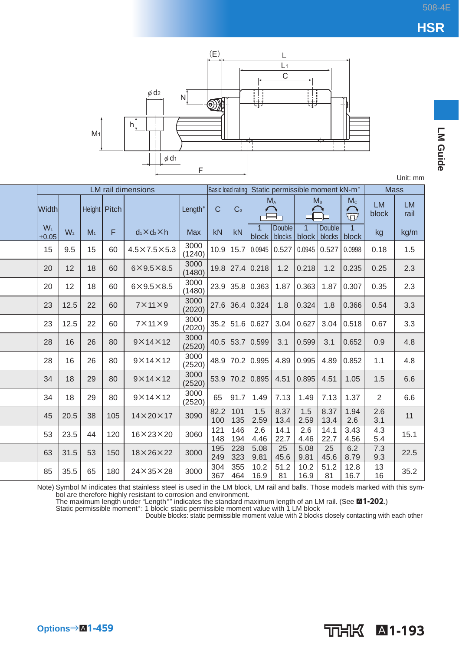LM Guide



Unit: mm

|                |                |                |     | <b>LM</b> rail dimensions |                | Basic load rating |                |                 |                                         |              | Static permissible moment kN-m <sup>*</sup> |                         | <b>Mass</b>        |                   |
|----------------|----------------|----------------|-----|---------------------------|----------------|-------------------|----------------|-----------------|-----------------------------------------|--------------|---------------------------------------------|-------------------------|--------------------|-------------------|
| Width          |                | Height Pitch   |     |                           | Length*        | C                 | C <sub>0</sub> | $M_A$           |                                         |              | $M_{\rm B}$                                 | $M_{\odot}$<br>$\Omega$ | <b>LM</b><br>block | <b>LM</b><br>rail |
| $W_1$<br>±0.05 | W <sub>2</sub> | M <sub>1</sub> | F   | $d_1 \times d_2 \times h$ | <b>Max</b>     | kN                | kN             | $\mathbf{1}$    | <b>Double</b><br>block   blocks   block | $\mathbf{1}$ | <b>Double</b><br>blocks                     | $\mathbf{1}$<br>block   | kg                 | kg/m              |
| 15             | 9.5            | 15             | 60  | $4.5\times7.5\times5.3$   | 3000<br>(1240) | 10.9              | 15.7           | $0.0945$ 0.527  |                                         | 0.0945       | 0.527                                       | 0.0998                  | 0.18               | 1.5               |
| 20             | 12             | 18             | 60  | $6\times9.5\times8.5$     | 3000<br>(1480) |                   |                | 19.8 27.4 0.218 | 1.2                                     | 0.218        | 1.2                                         | 0.235                   | 0.25               | 2.3               |
| 20             | 12             | 18             | 60  | $6\times9.5\times8.5$     | 3000<br>(1480) | 23.9              | 35.8           | 0.363           | 1.87                                    | 0.363        | 1.87                                        | 0.307                   | 0.35               | 2.3               |
| 23             | 12.5           | 22             | 60  | $7 \times 11 \times 9$    | 3000<br>(2020) | 27.6              |                | 36.4 0.324      | 1.8                                     | 0.324        | 1.8                                         | 0.366                   | 0.54               | 3.3               |
| 23             | 12.5           | 22             | 60  | $7 \times 11 \times 9$    | 3000<br>(2020) |                   |                | 35.2 51.6 0.627 | 3.04                                    | 0.627        | 3.04                                        | 0.518                   | 0.67               | 3.3               |
| 28             | 16             | 26             | 80  | $9 \times 14 \times 12$   | 3000<br>(2520) |                   |                | 40.5 53.7 0.599 | 3.1                                     | 0.599        | 3.1                                         | 0.652                   | 0.9                | 4.8               |
| 28             | 16             | 26             | 80  | $9 \times 14 \times 12$   | 3000<br>(2520) | 48.9              | 70.2           | 0.995           | 4.89                                    | 0.995        | 4.89                                        | 0.852                   | 1.1                | 4.8               |
| 34             | 18             | 29             | 80  | $9 \times 14 \times 12$   | 3000<br>(2520) | 53.9              | 70.2           | 0.895           | 4.51                                    | 0.895        | 4.51                                        | 1.05                    | 1.5                | 6.6               |
| 34             | 18             | 29             | 80  | $9 \times 14 \times 12$   | 3000<br>(2520) | 65                | 91.7           | 1.49            | 7.13                                    | 1.49         | 7.13                                        | 1.37                    | 2                  | 6.6               |
| 45             | 20.5           | 38             | 105 | $14\times20\times17$      | 3090           | 82.2<br>100       | 101<br>135     | 1.5<br>2.59     | 8.37<br>13.4                            | 1.5<br>2.59  | 8.37<br>13.4                                | 1.94<br>2.6             | 2.6<br>3.1         | 11                |
| 53             | 23.5           | 44             | 120 | $16\times23\times20$      | 3060           | 121<br>148        | 146<br>194     | 2.6<br>4.46     | 14.1<br>22.7                            | 2.6<br>4.46  | 14.1<br>22.7                                | 3.43<br>4.56            | 4.3<br>5.4         | 15.1              |
| 63             | 31.5           | 53             | 150 | $18\times26\times22$      | 3000           | 195<br>249        | 228<br>323     | 5.08<br>9.81    | 25<br>45.6                              | 5.08<br>9.81 | 25<br>45.6                                  | 6.2<br>8.79             | 7.3<br>9.3         | 22.5              |
| 85             | 35.5           | 65             | 180 | $24 \times 35 \times 28$  | 3000           | 304<br>367        | 355<br>464     | 10.2<br>16.9    | 51.2<br>81                              | 10.2<br>16.9 | 51.2<br>81                                  | 12.8<br>16.7            | 13<br>16           | 35.2              |

Note) Symbol M indicates that stainless steel is used in the LM block, LM rail and balls. Those models marked with this symbol are therefore highly resistant to corrosion and environment.<br>The maximum length under "Length"

İ  $\overline{a}$ 

֖֖֖֖֪֪ׅ֪֪֪ׅ֪֪֪֪֪ׅ֚֚֚֚֚֚֚֬֝֝֝֝**֟** 

ׇ֚֡֬<br>֧֚֝

֪֪ׅ֪֪֪ׅ֚֬֝֬֝֬֝֬֝֬֝֬֝֬֝֬

 $\begin{array}{c} \hline \end{array}$ 

j  $\overline{a}$  $\overline{a}$ 

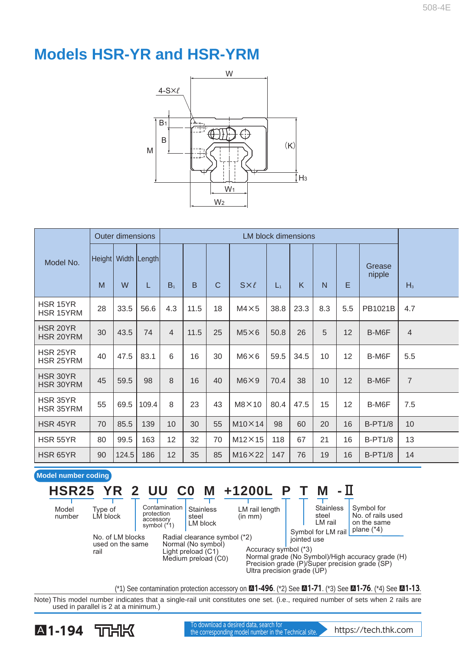## **Models HSR-YR and HSR-YRM**



|                              |    | <b>Outer dimensions</b> |                                |                |      |              | <b>LM block dimensions</b> |                |      |                |     |                  |                |
|------------------------------|----|-------------------------|--------------------------------|----------------|------|--------------|----------------------------|----------------|------|----------------|-----|------------------|----------------|
| Model No.                    | M  | W                       | Height   Width   Length  <br>L | B <sub>1</sub> | B    | $\mathsf{C}$ | $S\times\ell$              | $\mathbf{L}_1$ | K    | $\overline{N}$ | E   | Grease<br>nipple | $H_3$          |
| HSR 15YR<br><b>HSR 15YRM</b> | 28 | 33.5                    | 56.6                           | 4.3            | 11.5 | 18           | $M4 \times 5$              | 38.8           | 23.3 | 8.3            | 5.5 | PB1021B          | 4.7            |
| HSR 20YR<br>HSR 20YRM        | 30 | 43.5                    | 74                             | $\overline{4}$ | 11.5 | 25           | $M5\times 6$               | 50.8           | 26   | 5              | 12  | B-M6F            | $\overline{4}$ |
| HSR 25YR<br>HSR 25YRM        | 40 | 47.5                    | 83.1                           | 6              | 16   | 30           | $M6\times 6$               | 59.5           | 34.5 | 10             | 12  | B-M6F            | 5.5            |
| HSR 30YR<br>HSR 30YRM        | 45 | 59.5                    | 98                             | 8              | 16   | 40           | M6X9                       | 70.4           | 38   | 10             | 12  | B-M6F            | $\overline{7}$ |
| HSR 35YR<br>HSR 35YRM        | 55 | 69.5                    | 109.4                          | 8              | 23   | 43           | $M8\times10$               | 80.4           | 47.5 | 15             | 12  | B-M6F            | 7.5            |
| HSR 45YR                     | 70 | 85.5                    | 139                            | 10             | 30   | 55           | $M10\times 14$             | 98             | 60   | 20             | 16  | <b>B-PT1/8</b>   | 10             |
| HSR 55YR                     | 80 | 99.5                    | 163                            | 12             | 32   | 70           | $M12\times 15$             | 118            | 67   | 21             | 16  | <b>B-PT1/8</b>   | 13             |
| HSR 65YR                     | 90 | 124.5                   | 186                            | 12             | 35   | 85           | $M16 \times 22$            | 147            | 76   | 19             | 16  | <b>B-PT1/8</b>   | 14             |

### **Model number coding**

#### Stainless Type of Model **HSR25 YR 2 UU C0 M +1200L P T M - H**

Radial clearance symbol (\*2) Normal (No symbol) Light preload (C1) Medium preload (C0)

number

Contamination protection accessory symbol (\*1)

No. of LM blocks used on the same rail

LM block

steel LM block

LM rail length  $(in mm)$ 

Stainless

steel LM rail Symbol for No. of rails used on the same

Symbol for LM rail plane (\*4) jointed use

Accuracy symbol (\*3)

Normal grade (No Symbol)/High accuracy grade (H) Precision grade (P)/Super precision grade (SP) Ultra precision grade (UP)

(\*1) See contamination protection accessory on A**1-496** . (\*2) See A**1-71** . (\*3) See A**1-76** . (\*4) See A**1-13** .

Note) This model number indicates that a single-rail unit constitutes one set. (i.e., required number of sets when 2 rails are used in parallel is 2 at a minimum.)



**A1-194** TOHK the corresponding model number in the Technical site. https://tech.thk.com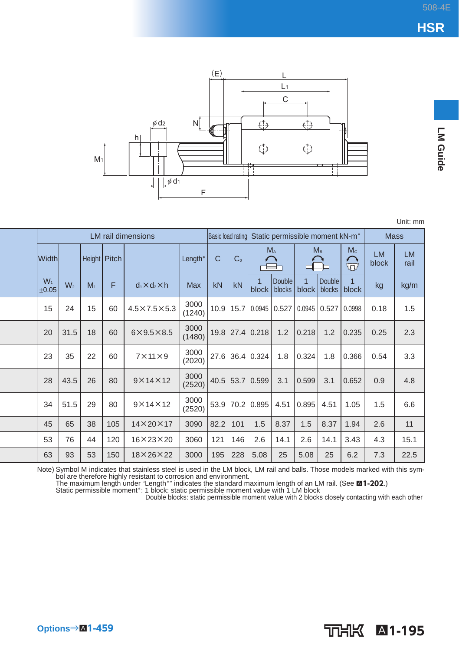**LM Guide** 



Unit: mm

|                |                |                |     | <b>LM</b> rail dimensions |                | Basic load rating |                |                 | Static permissible moment kN-m <sup>*</sup> |                         |                  |                | <b>Mass</b>        |                   |
|----------------|----------------|----------------|-----|---------------------------|----------------|-------------------|----------------|-----------------|---------------------------------------------|-------------------------|------------------|----------------|--------------------|-------------------|
| Width          |                | Height Pitch   |     |                           | Length*        | $\mathsf{C}$      | C <sub>0</sub> |                 | $M_A$                                       | Mв                      |                  | Mc<br>$\Omega$ | <b>LM</b><br>block | <b>LM</b><br>rail |
| $W_1$<br>±0.05 | W <sub>2</sub> | M <sub>1</sub> | F   | $d_1 \times d_2 \times h$ | <b>Max</b>     | kN                | kN             | block           | <b>Double</b><br>blocks                     | $\overline{1}$<br>block | Double<br>blocks | block          | kg                 | kg/m              |
| 15             | 24             | 15             | 60  | $4.5\times7.5\times5.3$   | 3000<br>(1240) |                   | $10.9$   15.7  | 0.0945          | $0.527$ 0.0945                              |                         | 0.527            | 0.0998         | 0.18               | 1.5               |
| 20             | 31.5           | 18             | 60  | $6\times9.5\times8.5$     | 3000<br>(1480) |                   |                | 19.8 27.4 0.218 | 1.2                                         | 0.218                   | 1.2              | 0.235          | 0.25               | 2.3               |
| 23             | 35             | 22             | 60  | $7 \times 11 \times 9$    | 3000<br>(2020) |                   |                | 27.6 36.4 0.324 | 1.8                                         | 0.324                   | 1.8              | 0.366          | 0.54               | 3.3               |
| 28             | 43.5           | 26             | 80  | $9 \times 14 \times 12$   | 3000<br>(2520) | 40.5              |                | 53.7 0.599      | 3.1                                         | 0.599                   | 3.1              | 0.652          | 0.9                | 4.8               |
| 34             | 51.5           | 29             | 80  | $9 \times 14 \times 12$   | 3000<br>(2520) |                   |                | 53.9 70.2 0.895 | 4.51                                        | 0.895                   | 4.51             | 1.05           | 1.5                | 6.6               |
| 45             | 65             | 38             | 105 | $14\times20\times17$      | 3090           | 82.2              | 101            | 1.5             | 8.37                                        | 1.5                     | 8.37             | 1.94           | 2.6                | 11                |
| 53             | 76             | 44             | 120 | $16 \times 23 \times 20$  | 3060           | 121               | 146            | 2.6             | 14.1                                        | 2.6                     | 14.1             | 3.43           | 4.3                | 15.1              |
| 63             | 93             | 53             | 150 | $18\times26\times22$      | 3000           | 195               | 228            | 5.08            | 25                                          | 5.08                    | 25               | 6.2            | 7.3                | 22.5              |

Note) Symbol M indicates that stainless steel is used in the LM block, LM rail and balls. Those models marked with this symbol are therefore highly resistant to corrosion and environment.<br>The maximum length under "Length\*"

Double blocks: static permissible moment value with 2 blocks closely contacting with each other

A**1-195**

 $\overline{\phantom{a}}$ 

֖֖֚֚֚֬֝֬֝֬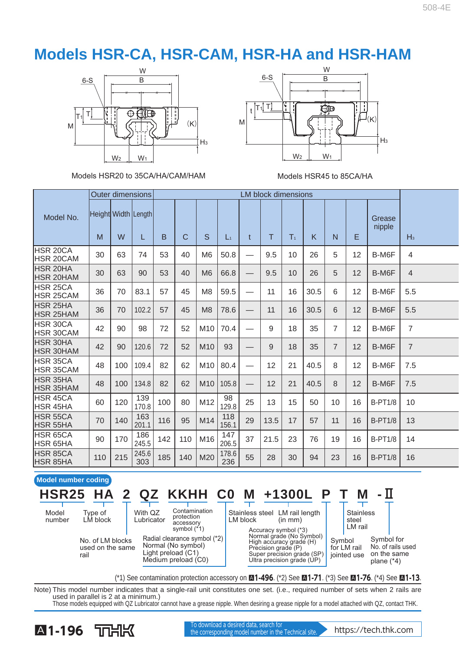## **Models HSR-CA, HSR-CAM, HSR-HA and HSR-HAM**



Models HSR20 to 35CA/HA/CAM/HAM Models HSR45 to 85CA/HA



|                                     |     |     | <b>Outer dimensions</b> |     | <b>LM block dimensions</b> |                 |              |              |      |                |      |                |    |                  |                |
|-------------------------------------|-----|-----|-------------------------|-----|----------------------------|-----------------|--------------|--------------|------|----------------|------|----------------|----|------------------|----------------|
| Model No.                           |     |     | Height Width Length     |     |                            |                 |              |              |      |                |      |                |    | Grease<br>nipple |                |
|                                     | M   | W   | L                       | B   | $\mathsf{C}$               | S               | $L_1$        | $\mathbf{t}$ | T    | T <sub>1</sub> | K    | N              | E  |                  | $H_3$          |
| HSR 20CA<br>HSR 20CAM               | 30  | 63  | 74                      | 53  | 40                         | M <sub>6</sub>  | 50.8         |              | 9.5  | 10             | 26   | 5              | 12 | B-M6F            | 4              |
| <b>HSR 20HA</b><br><b>HSR 20HAM</b> | 30  | 63  | 90                      | 53  | 40                         | M6              | 66.8         |              | 9.5  | 10             | 26   | 5              | 12 | B-M6F            | $\overline{4}$ |
| HSR 25CA<br>HSR 25CAM               | 36  | 70  | 83.1                    | 57  | 45                         | M <sub>8</sub>  | 59.5         |              | 11   | 16             | 30.5 | 6              | 12 | B-M6F            | 5.5            |
| <b>HSR 25HA</b><br><b>HSR 25HAM</b> | 36  | 70  | 102.2                   | 57  | 45                         | M8              | 78.6         |              | 11   | 16             | 30.5 | 6              | 12 | B-M6F            | 5.5            |
| HSR 30CA<br><b>HSR 30CAM</b>        | 42  | 90  | 98                      | 72  | 52                         | M10             | 70.4         |              | 9    | 18             | 35   | $\overline{7}$ | 12 | B-M6F            | $\overline{7}$ |
| <b>HSR 30HA</b><br><b>HSR 30HAM</b> | 42  | 90  | 120.6                   | 72  | 52                         | M <sub>10</sub> | 93           |              | 9    | 18             | 35   | $\overline{7}$ | 12 | B-M6F            | $\overline{7}$ |
| HSR 35CA<br><b>HSR 35CAM</b>        | 48  | 100 | 109.4                   | 82  | 62                         | M10             | 80.4         |              | 12   | 21             | 40.5 | 8              | 12 | B-M6F            | 7.5            |
| <b>HSR 35HA</b><br><b>HSR 35HAM</b> | 48  | 100 | 134.8                   | 82  | 62                         | M <sub>10</sub> | 105.8        |              | 12   | 21             | 40.5 | 8              | 12 | B-M6F            | 7.5            |
| <b>HSR 45CA</b><br>HSR 45HA         | 60  | 120 | 139<br>170.8            | 100 | 80                         | M12             | 98<br>129.8  | 25           | 13   | 15             | 50   | 10             | 16 | <b>B-PT1/8</b>   | 10             |
| HSR 55CA<br><b>HSR 55HA</b>         | 70  | 140 | 163<br>201.1            | 116 | 95                         | M14             | 118<br>156.1 | 29           | 13.5 | 17             | 57   | 11             | 16 | <b>B-PT1/8</b>   | 13             |
| HSR 65CA<br>HSR 65HA                | 90  | 170 | 186<br>245.5            | 142 | 110                        | M16             | 147<br>206.5 | 37           | 21.5 | 23             | 76   | 19             | 16 | <b>B-PT1/8</b>   | 14             |
| HSR 85CA<br>HSR 85HA                | 110 | 215 | 245.6<br>303            | 185 | 140                        | M20             | 178.6<br>236 | 55           | 28   | 30             | 94   | 23             | 16 | <b>B-PT1/8</b>   | 16             |

#### **Model number coding**

|                 |                                              |                       |                                                                                                 |          | HSR25 HA 2 QZ KKHH C0 M $+1300L$ P                                                                                                     |        |                                      |                                                                |
|-----------------|----------------------------------------------|-----------------------|-------------------------------------------------------------------------------------------------|----------|----------------------------------------------------------------------------------------------------------------------------------------|--------|--------------------------------------|----------------------------------------------------------------|
| Model<br>number | Tvpe of<br>LM block                          | With QZ<br>Lubricator | Contamination<br>protection<br>accessory<br>symbol $(*1)$                                       | LM block | Stainless steel LM rail length<br>(in mm)<br>Accuracy symbol (*3)                                                                      |        | <b>Stainless</b><br>steel<br>LM rail |                                                                |
|                 | No. of LM blocks<br>used on the same<br>rail |                       | Radial clearance symbol (*2)<br>Normal (No symbol)<br>Light preload (C1)<br>Medium preload (C0) |          | Normal grade (No Symbol)<br>High accuracy grade (H)<br>Precision grade (P)<br>Super precision grade (SP)<br>Ultra precision grade (UP) | Symbol | for LM rail<br>jointed use           | Symbol for<br>No. of rails used<br>on the same<br>plane $(*4)$ |

(\*1) See contamination protection accessory on A**1-496** . (\*2) See A**1-71** . (\*3) See A**1-76** . (\*4) See A**1-13** .

Note) This model number indicates that a single-rail unit constitutes one set. (i.e., required number of sets when 2 rails are used in parallel is 2 at a minimum.) Those models equipped with QZ Lubricator cannot have a grease nipple. When desiring a grease nipple for a model attached with QZ, contact THK.



**A1-196** TOHK the corresponding model number in the Technical site. https://tech.thk.com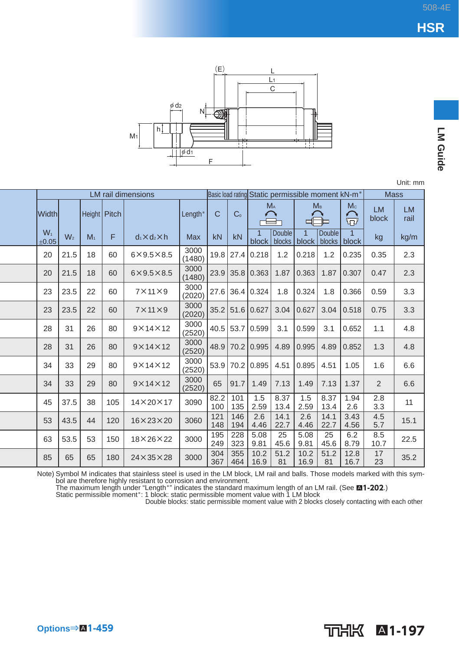**LM Guide** 



Unit: mm

| <b>LM</b> rail dimensions |                |                |              |                           |                |              |                |                 |                                  |                |                         | Basic load rating Static permissible moment kN-m <sup>*</sup> | <b>Mass</b>        |                   |
|---------------------------|----------------|----------------|--------------|---------------------------|----------------|--------------|----------------|-----------------|----------------------------------|----------------|-------------------------|---------------------------------------------------------------|--------------------|-------------------|
| <b>Width</b>              |                |                | Height Pitch |                           | Length*        | $\mathsf{C}$ | C <sub>0</sub> |                 | $M_A$                            |                | $M_{\rm B}$             | $M_{\odot}$<br>⌒<br>$\nabla$                                  | <b>LM</b><br>block | <b>LM</b><br>rail |
| $W_1$<br>±0.05            | W <sub>2</sub> | M <sub>1</sub> | F            | $d_1 \times d_2 \times h$ | <b>Max</b>     | kN           | kN             |                 | Double<br>block   blocks   block | $\overline{1}$ | <b>Double</b><br>blocks | $\mathbf 1$<br>block                                          | kg                 | kg/m              |
| 20                        | 21.5           | 18             | 60           | $6\times9.5\times8.5$     | 3000<br>(1480) | 19.8         | 27.4           | 0.218           | 1.2                              | 0.218          | 1.2                     | 0.235                                                         | 0.35               | 2.3               |
| 20                        | 21.5           | 18             | 60           | $6\times9.5\times8.5$     | 3000<br>(1480) | 23.9         |                | 35.8 0.363      | 1.87                             | 0.363          | 1.87                    | 0.307                                                         | 0.47               | 2.3               |
| 23                        | 23.5           | 22             | 60           | $7\times11\times9$        | 3000<br>(2020) | 27.6         |                | 36.4 0.324      | 1.8                              | 0.324          | 1.8                     | 0.366                                                         | 0.59               | 3.3               |
| 23                        | 23.5           | 22             | 60           | $7 \times 11 \times 9$    | 3000<br>(2020) |              |                | 35.2 51.6 0.627 | 3.04                             | 0.627          | 3.04                    | 0.518                                                         | 0.75               | 3.3               |
| 28                        | 31             | 26             | 80           | $9 \times 14 \times 12$   | 3000<br>(2520) |              |                | 40.5 53.7 0.599 | 3.1                              | 0.599          | 3.1                     | 0.652                                                         | 1.1                | 4.8               |
| 28                        | 31             | 26             | 80           | $9 \times 14 \times 12$   | 3000<br>(2520) | 48.9         |                | 70.2 0.995      | 4.89                             | 0.995          | 4.89                    | 0.852                                                         | 1.3                | 4.8               |
| 34                        | 33             | 29             | 80           | $9 \times 14 \times 12$   | 3000<br>(2520) | 53.9         |                | 70.2 0.895      | 4.51                             | 0.895          | 4.51                    | 1.05                                                          | 1.6                | 6.6               |
| 34                        | 33             | 29             | 80           | $9 \times 14 \times 12$   | 3000<br>(2520) | 65           | 91.7           | 1.49            | 7.13                             | 1.49           | 7.13                    | 1.37                                                          | 2                  | 6.6               |
| 45                        | 37.5           | 38             | 105          | $14\times20\times17$      | 3090           | 82.2<br>100  | 101<br>135     | 1.5<br>2.59     | 8.37<br>13.4                     | 1.5<br>2.59    | 8.37<br>13.4            | 1.94<br>2.6                                                   | 2.8<br>3.3         | 11                |
| 53                        | 43.5           | 44             | 120          | $16 \times 23 \times 20$  | 3060           | 121<br>148   | 146<br>194     | 2.6<br>4.46     | 14.1<br>22.7                     | 2.6<br>4.46    | 14.1<br>22.7            | 3.43<br>4.56                                                  | 4.5<br>5.7         | 15.1              |
| 63                        | 53.5           | 53             | 150          | $18\times26\times22$      | 3000           | 195<br>249   | 228<br>323     | 5.08<br>9.81    | 25<br>45.6                       | 5.08<br>9.81   | 25<br>45.6              | 6.2<br>8.79                                                   | 8.5<br>10.7        | 22.5              |
| 85                        | 65             | 65             | 180          | $24 \times 35 \times 28$  | 3000           | 304<br>367   | 355<br>464     | 10.2<br>16.9    | 51.2<br>81                       | 10.2<br>16.9   | 51.2<br>81              | 12.8<br>16.7                                                  | 17<br>23           | 35.2              |

Note) Symbol M indicates that stainless steel is used in the LM block, LM rail and balls. Those models marked with this symbol are therefore highly resistant to corrosion and environment.<br>The maximum length under "Length"

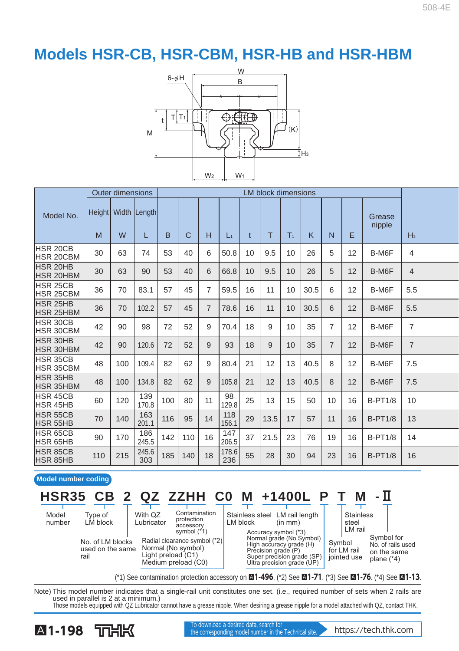

|                                      |     | <b>Outer dimensions</b> |                         | <b>LM block dimensions</b> |     |                |              |              |      |                 |      |                |    |                  |                |
|--------------------------------------|-----|-------------------------|-------------------------|----------------------------|-----|----------------|--------------|--------------|------|-----------------|------|----------------|----|------------------|----------------|
| Model No.                            |     |                         | Height   Width   Length |                            |     |                |              |              |      |                 |      |                |    | Grease<br>nipple |                |
|                                      | M   | W                       | L                       | B                          | C   | н              | $L_1$        | $\mathbf{t}$ | T    | T <sub>1</sub>  | K    | N              | E  |                  | $H_3$          |
| HSR 20CB<br><b>HSR 20CBM</b>         | 30  | 63                      | 74                      | 53                         | 40  | 6              | 50.8         | 10           | 9.5  | 10 <sup>1</sup> | 26   | 5              | 12 | B-M6F            | $\overline{4}$ |
| <b>HSR 20HB</b><br><b>HSR 20HBM</b>  | 30  | 63                      | 90                      | 53                         | 40  | 6              | 66.8         | 10           | 9.5  | 10              | 26   | 5              | 12 | B-M6F            | $\overline{4}$ |
| <b>HSR 25CB</b><br><b>HSR 25CBM</b>  | 36  | 70                      | 83.1                    | 57                         | 45  | 7              | 59.5         | 16           | 11   | 10              | 30.5 | 6              | 12 | B-M6F            | 5.5            |
| <b>HSR 25HB</b><br><b>HSR 25HBM</b>  | 36  | 70                      | 102.2                   | 57                         | 45  | $\overline{7}$ | 78.6         | 16           | 11   | 10              | 30.5 | 6              | 12 | B-M6F            | 5.5            |
| HSR 30CB<br><b>IHSR 30CBM</b>        | 42  | 90                      | 98                      | 72                         | 52  | 9              | 70.4         | 18           | 9    | 10              | 35   | $\overline{7}$ | 12 | B-M6F            | $\overline{7}$ |
| <b>HSR 30HB</b><br><b>HSR 30HBM</b>  | 42  | 90                      | 120.6                   | 72                         | 52  | 9              | 93           | 18           | 9    | 10              | 35   | $\overline{7}$ | 12 | B-M6F            | $\overline{7}$ |
| <b>HSR 35CB</b><br><b>IHSR 35CBM</b> | 48  | 100                     | 109.4                   | 82                         | 62  | 9              | 80.4         | 21           | 12   | 13              | 40.5 | 8              | 12 | B-M6F            | 7.5            |
| <b>HSR 35HB</b><br><b>HSR 35HBM</b>  | 48  | 100                     | 134.8                   | 82                         | 62  | 9              | 105.8        | 21           | 12   | 13              | 40.5 | 8              | 12 | B-M6F            | 7.5            |
| <b>HSR 45CB</b><br><b>HSR 45HB</b>   | 60  | 120                     | 139<br>170.8            | 100                        | 80  | 11             | 98<br>129.8  | 25           | 13   | 15              | 50   | 10             | 16 | <b>B-PT1/8</b>   | 10             |
| <b>HSR 55CB</b><br><b>HSR 55HB</b>   | 70  | 140                     | 163<br>201.1            | 116                        | 95  | 14             | 118<br>156.1 | 29           | 13.5 | 17              | 57   | 11             | 16 | <b>B-PT1/8</b>   | 13             |
| HSR 65CB<br><b>HSR 65HB</b>          | 90  | 170                     | 186<br>245.5            | 142                        | 110 | 16             | 147<br>206.5 | 37           | 21.5 | 23              | 76   | 19             | 16 | <b>B-PT1/8</b>   | 14             |
| HSR 85CB<br><b>HSR 85HB</b>          | 110 | 215                     | 245.6<br>303            | 185                        | 140 | 18             | 178.6<br>236 | 55           | 28   | 30              | 94   | 23             | 16 | <b>B-PT1/8</b>   | 16             |

#### **Model number coding**

#### Symbol for Symbol Stainless steel LM rail length (in mm) Contamination protection accessory symbol (\*1) With Q<sub>7</sub> Lubricator LM block Stainless steel<br>LM rail Accuracy symbol (\*3)<br>Normal grade (No Symbol) Radial clearance symbol (\*2) No. of LM blocks Type of LM block Model number **HSR35 CB 2 QZ ZZHH C0 M +1400L P T M -**Ⅱ

used on the same rail

Normal (No symbol) Light preload (C1) Medium preload (C0)

High accuracy grade (H) Precision grade (P) Super precision grade (SP) Ultra precision grade (UP)

No. of rails used on the same plane (\*4) for LM rail jointed use

(\*1) See contamination protection accessory on A**1-496** . (\*2) See A**1-71** . (\*3) See A**1-76** . (\*4) See A**1-13** .

Note) This model number indicates that a single-rail unit constitutes one set. (i.e., required number of sets when 2 rails are used in parallel is 2 at a minimum.) Those models equipped with QZ Lubricator cannot have a grease nipple. When desiring a grease nipple for a model attached with QZ, contact THK.



**A1-198** TOHK the corresponding model number in the Technical site. https://tech.thk.com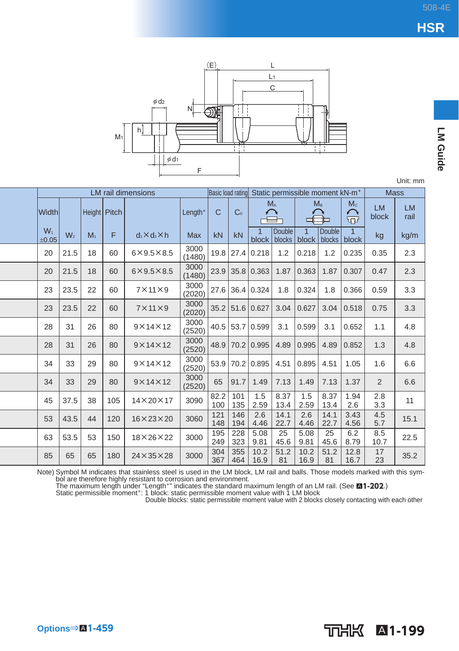

|                  |                |                |     |                           |                |                   |                |                 |                         |                         |                                             |                                                     |                    | Unit: mm          |
|------------------|----------------|----------------|-----|---------------------------|----------------|-------------------|----------------|-----------------|-------------------------|-------------------------|---------------------------------------------|-----------------------------------------------------|--------------------|-------------------|
|                  |                |                |     | <b>LM</b> rail dimensions |                | Basic load rating |                |                 |                         |                         | Static permissible moment kN-m <sup>*</sup> |                                                     | <b>Mass</b>        |                   |
| Width            |                | Height Pitch   |     |                           | Length*        | C                 | C <sub>0</sub> | $M_A$           |                         |                         | $M_{B}$                                     | Mc<br>$\curvearrowright$<br>$\overline{\mathbf{P}}$ | <b>LM</b><br>block | <b>LM</b><br>rail |
| $W_1$<br>$+0.05$ | W <sub>2</sub> | M <sub>1</sub> | F   | $d_1 \times d_2 \times h$ | <b>Max</b>     | kN                | kN             | block           | <b>Double</b><br>blocks | $\overline{1}$<br>block | <b>Double</b><br>blocks                     | block                                               | kg                 | kg/m              |
| 20               | 21.5           | 18             | 60  | $6\times9.5\times8.5$     | 3000<br>(1480) | 19.8              |                | 27.4 0.218      | 1.2                     | 0.218                   | 1.2                                         | 0.235                                               | 0.35               | 2.3               |
| 20               | 21.5           | 18             | 60  | $6\times9.5\times8.5$     | 3000<br>(1480) | 23.9              | 35.8           | 0.363           | 1.87                    | 0.363                   | 1.87                                        | 0.307                                               | 0.47               | 2.3               |
| 23               | 23.5           | 22             | 60  | $7 \times 11 \times 9$    | 3000<br>(2020) |                   |                | 27.6 36.4 0.324 | 1.8                     | 0.324                   | 1.8                                         | 0.366                                               | 0.59               | 3.3               |
| 23               | 23.5           | 22             | 60  | $7 \times 11 \times 9$    | 3000<br>(2020) | 35.2              |                | 51.6 0.627      | 3.04                    | 0.627                   | 3.04                                        | 0.518                                               | 0.75               | 3.3               |
| 28               | 31             | 26             | 80  | $9 \times 14 \times 12$   | 3000<br>(2520) | 40.5              |                | 53.7 0.599      | 3.1                     | 0.599                   | 3.1                                         | 0.652                                               | 1.1                | 4.8               |
| 28               | 31             | 26             | 80  | $9 \times 14 \times 12$   | 3000<br>(2520) | 48.9              | 70.2           | 0.995           | 4.89                    | 0.995                   | 4.89                                        | 0.852                                               | 1.3                | 4.8               |
| 34               | 33             | 29             | 80  | $9 \times 14 \times 12$   | 3000<br>(2520) | 53.9              |                | 70.2 0.895      | 4.51                    | 0.895                   | 4.51                                        | 1.05                                                | 1.6                | 6.6               |
| 34               | 33             | 29             | 80  | $9 \times 14 \times 12$   | 3000<br>(2520) | 65                | 91.7           | 1.49            | 7.13                    | 1.49                    | 7.13                                        | 1.37                                                | $\overline{2}$     | 6.6               |
| 45               | 37.5           | 38             | 105 | $14\times20\times17$      | 3090           | 82.2<br>100       | 101<br>135     | 1.5<br>2.59     | 8.37<br>13.4            | 1.5<br>2.59             | 8.37<br>13.4                                | 1.94<br>2.6                                         | 2.8<br>3.3         | 11                |
| 53               | 43.5           | 44             | 120 | $16 \times 23 \times 20$  | 3060           | 121<br>148        | 146<br>194     | 2.6<br>4.46     | 14.1<br>22.7            | 2.6<br>4.46             | 14.1<br>22.7                                | 3.43<br>4.56                                        | 4.5<br>5.7         | 15.1              |
| 63               | 53.5           | 53             | 150 | 18×26×22                  | 3000           | 195<br>249        | 228<br>323     | 5.08<br>9.81    | 25<br>45.6              | 5.08<br>9.81            | 25<br>45.6                                  | 6.2<br>8.79                                         | 8.5<br>10.7        | 22.5              |
| 85               | 65             | 65             | 180 | $24\times35\times28$      | 3000           | 304<br>367        | 355<br>464     | 10.2<br>16.9    | 51.2<br>81              | 10.2<br>16.9            | 51.2<br>81                                  | 12.8<br>16.7                                        | 17<br>23           | 35.2              |

Note) Symbol M indicates that stainless steel is used in the LM block, LM rail and balls. Those models marked with this symbol are therefore highly resistant to corrosion and environment.<br>The maximum length under "Length"

A**1-199**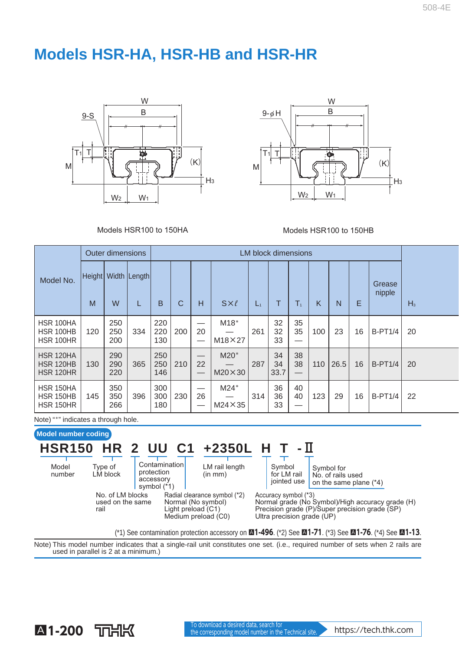## **Models HSR-HA, HSR-HB and HSR-HR**





Models HSR100 to 150HA Models HSR100 to 150HB

|                                                          |     | <b>Outer dimensions</b> |                         |                   | <b>LM block dimensions</b> |              |                           |       |                  |                 |     |      |    |                  |       |
|----------------------------------------------------------|-----|-------------------------|-------------------------|-------------------|----------------------------|--------------|---------------------------|-------|------------------|-----------------|-----|------|----|------------------|-------|
| Model No.                                                | M   | W                       | Height   Width   Length | B                 | C                          | H            | $S \times \ell$           | $L_1$ | т                | $T_{1}$         | K   | N    | E  | Grease<br>nipple | $H_3$ |
| HSR 100HA<br>HSR 100HB<br>HSR 100HR                      | 120 | 250<br>250<br>200       | 334                     | 220<br>220<br>130 | 200                        | –<br>20      | $M18*$<br>$M18\times27$   | 261   | 32<br>32<br>33   | 35<br>35<br>–   | 100 | 23   | 16 | <b>B-PT1/4</b>   | 20    |
| <b>HSR 120HA</b><br><b>HSR 120HB</b><br><b>HSR 120HR</b> | 130 | 290<br>290<br>220       | 365                     | 250<br>250<br>146 | 210                        | 22           | $M20*$<br>$M20 \times 30$ | 287   | 34<br>34<br>33.7 | 38<br>38<br>–   | 110 | 26.5 | 16 | <b>B-PT1/4</b>   | 20    |
| HSR 150HA<br><b>HSR 150HB</b><br><b>HSR 150HR</b>        | 145 | 350<br>350<br>266       | 396                     | 300<br>300<br>180 | 230                        | —<br>26<br>— | $M24*$<br>$M24 \times 35$ | 314   | 36<br>36<br>33   | 40<br>40<br>--- | 123 | 29   | 16 | <b>B-PT1/4</b>   | 22    |

Note) "\*" indicates a through hole.

rail

Type of LM block

### **Model number coding**

### LM rail length **HSR150 HR 2 UU C1 +2350L H T -**Ⅱ

Model number Contamination protection accessory symbol (\*1)

No. of LM blocks used on the same

Radial clearance symbol (\*2) Normal (No symbol) Light preload (C1) Medium preload (C0)

(in mm)

Symbol for LM rail jointed use

Symbol for No. of rails used on the same plane (\*4)

Accuracy symbol (\*3) Normal grade (No Symbol)/High accuracy grade (H) Precision grade (P)/Super precision grade (SP) Ultra precision grade (UP)

(\*1) See contamination protection accessory on A**1-496** . (\*2) See A**1-71** . (\*3) See A**1-76** . (\*4) See A**1-13** .

Note) This model number indicates that a single-rail unit constitutes one set. (i.e., required number of sets when 2 rails are used in parallel is 2 at a minimum.)

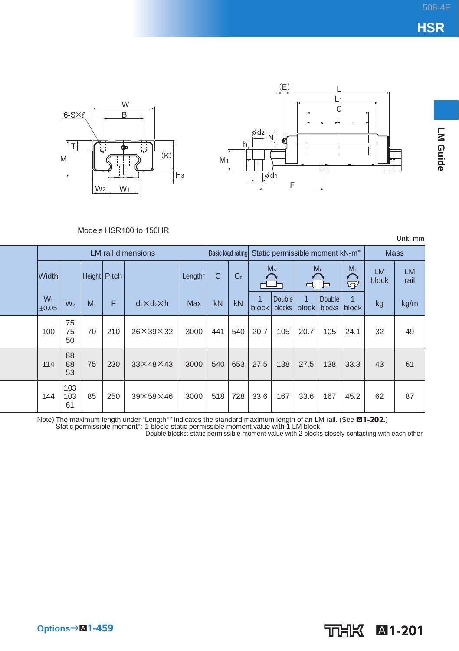





LM Guide **LM Guide**

#### Models HSR100 to 150HR

Unit: mm

|                |                  |                |     | <b>LM</b> rail dimensions |            |     |                | Basic load rating Static permissible moment kN-m <sup>*</sup> |                  |                       | <b>Mass</b>      |            |                    |                   |
|----------------|------------------|----------------|-----|---------------------------|------------|-----|----------------|---------------------------------------------------------------|------------------|-----------------------|------------------|------------|--------------------|-------------------|
| <b>Width</b>   |                  | Height Pitch   |     |                           | Length*    | C   | C <sub>0</sub> | M <sub>A</sub><br>⋿                                           |                  | M <sub>B</sub>        |                  | Mc<br>ଳି   | <b>LM</b><br>block | <b>LM</b><br>rail |
| $W_1$<br>±0.05 | W <sub>2</sub>   | M <sub>1</sub> | F   | $d_1 \times d_2 \times h$ | <b>Max</b> | kN  | kN             | $\overline{A}$<br>block                                       | Double<br>blocks | $\mathbf{1}$<br>block | Double<br>blocks | 1<br>block | kg                 | kg/m              |
| 100            | 75<br>75<br>50   | 70             | 210 | $26 \times 39 \times 32$  | 3000       | 441 | 540            | 20.7                                                          | 105              | 20.7                  | 105              | 24.1       | 32                 | 49                |
| 114            | 88<br>88<br>53   | 75             | 230 | $33 \times 48 \times 43$  | 3000       | 540 | 653            | 27.5                                                          | 138              | 27.5                  | 138              | 33.3       | 43                 | 61                |
| 144            | 103<br>103<br>61 | 85             | 250 | $39\times58\times46$      | 3000       | 518 | 728            | 33.6                                                          | 167              | 33.6                  | 167              | 45.2       | 62                 | 87                |

Note) The maximum length under "Length"" indicates the standard maximum length of an LM rail. (See **⊠1-202**.)<br>Static permissible moment\*: 1 block: static permissible moment\* value with 1 LM block<br>Double blocks: static per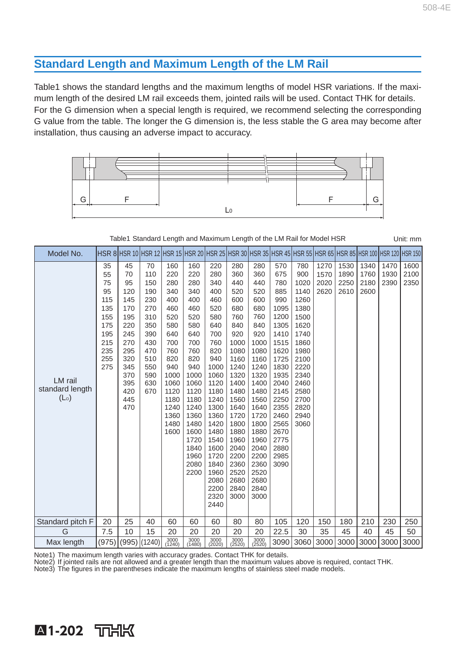### **Standard Length and Maximum Length of the LM Rail**

Table1 shows the standard lengths and the maximum lengths of model HSR variations. If the maximum length of the desired LM rail exceeds them, jointed rails will be used. Contact THK for details. For the G dimension when a special length is required, we recommend selecting the corresponding G value from the table. The longer the G dimension is, the less stable the G area may become after installation, thus causing an adverse impact to accuracy.



Table1 Standard Length and Maximum Length of the LM Rail for Model HSR Unit: mm

| Model No.         |     |               |        |                |                       |              |                |                       |              |      |                |      |      |      | HSR 8 HSR 10 HSR 12 HSR 15 HSR 20 HSR 25 HSR 30 HSR 35 HSR 45 HSR 55 HSR 65 HSR 85 HSR 100 HSR 120 HSR 150 |
|-------------------|-----|---------------|--------|----------------|-----------------------|--------------|----------------|-----------------------|--------------|------|----------------|------|------|------|------------------------------------------------------------------------------------------------------------|
|                   | 35  | 45            | 70     | 160            | 160                   | 220          | 280            | 280                   | 570          | 780  | 1270           | 1530 | 1340 | 1470 | 1600                                                                                                       |
|                   | 55  | 70            | 110    | 220            | 220                   | 280          | 360            | 360                   | 675          | 900  | 1570           | 1890 | 1760 | 1930 | 2100                                                                                                       |
|                   | 75  | 95            | 150    | 280            | 280                   | 340          | 440            | 440                   | 780          | 1020 | 2020           | 2250 | 2180 | 2390 | 2350                                                                                                       |
|                   | 95  | 120           | 190    | 340            | 340                   | 400          | 520            | 520                   | 885          | 1140 | 2620           | 2610 | 2600 |      |                                                                                                            |
|                   | 115 | 145           | 230    | 400            | 400                   | 460          | 600            | 600                   | 990          | 1260 |                |      |      |      |                                                                                                            |
|                   | 135 | 170           | 270    | 460            | 460                   | 520          | 680            | 680                   | 1095         | 1380 |                |      |      |      |                                                                                                            |
|                   | 155 | 195           | 310    | 520            | 520                   | 580          | 760            | 760                   | 1200         | 1500 |                |      |      |      |                                                                                                            |
|                   | 175 | 220           | 350    | 580            | 580                   | 640          | 840            | 840                   | 1305         | 1620 |                |      |      |      |                                                                                                            |
|                   | 195 | 245           | 390    | 640            | 640                   | 700          | 920            | 920                   | 1410         | 1740 |                |      |      |      |                                                                                                            |
|                   | 215 | 270           | 430    | 700            | 700                   | 760          | 1000           | 1000                  | 1515         | 1860 |                |      |      |      |                                                                                                            |
|                   | 235 | 295           | 470    | 760            | 760                   | 820          | 1080           | 1080                  | 1620         | 1980 |                |      |      |      |                                                                                                            |
|                   | 255 | 320           | 510    | 820            | 820                   | 940          | 1160           | 1160                  | 1725         | 2100 |                |      |      |      |                                                                                                            |
|                   | 275 | 345           | 550    | 940            | 940                   | 1000         | 1240           | 1240                  | 1830         | 2220 |                |      |      |      |                                                                                                            |
| LM rail           |     | 370           | 590    | 1000           | 1000                  | 1060         | 1320           | 1320                  | 1935         | 2340 |                |      |      |      |                                                                                                            |
|                   |     | 395           | 630    | 1060           | 1060                  | 1120         | 1400           | 1400                  | 2040         | 2460 |                |      |      |      |                                                                                                            |
| standard length   |     | 420           | 670    | 1120           | 1120                  | 1180         | 1480           | 1480                  | 2145         | 2580 |                |      |      |      |                                                                                                            |
| (L <sub>o</sub> ) |     | 445           |        | 1180           | 1180                  | 1240         | 1560           | 1560                  | 2250         | 2700 |                |      |      |      |                                                                                                            |
|                   |     | 470           |        | 1240           | 1240                  | 1300         | 1640           | 1640                  | 2355         | 2820 |                |      |      |      |                                                                                                            |
|                   |     |               |        | 1360           | 1360                  | 1360         | 1720           | 1720                  | 2460         | 2940 |                |      |      |      |                                                                                                            |
|                   |     |               |        | 1480           | 1480                  | 1420         | 1800           | 1800                  | 2565         | 3060 |                |      |      |      |                                                                                                            |
|                   |     |               |        | 1600           | 1600<br>1720          | 1480<br>1540 | 1880<br>1960   | 1880<br>1960          | 2670<br>2775 |      |                |      |      |      |                                                                                                            |
|                   |     |               |        |                | 1840                  | 1600         | 2040           | 2040                  | 2880         |      |                |      |      |      |                                                                                                            |
|                   |     |               |        |                | 1960                  | 1720         | 2200           | 2200                  | 2985         |      |                |      |      |      |                                                                                                            |
|                   |     |               |        |                | 2080                  | 1840         | 2360           | 2360                  | 3090         |      |                |      |      |      |                                                                                                            |
|                   |     |               |        |                | 2200                  | 1960         | 2520           | 2520                  |              |      |                |      |      |      |                                                                                                            |
|                   |     |               |        |                |                       | 2080         | 2680           | 2680                  |              |      |                |      |      |      |                                                                                                            |
|                   |     |               |        |                |                       | 2200         | 2840           | 2840                  |              |      |                |      |      |      |                                                                                                            |
|                   |     |               |        |                |                       | 2320         | 3000           | 3000                  |              |      |                |      |      |      |                                                                                                            |
|                   |     |               |        |                |                       | 2440         |                |                       |              |      |                |      |      |      |                                                                                                            |
| Standard pitch F  | 20  | 25            | 40     | 60             | 60                    | 60           | 80             | 80                    | 105          | 120  | 150            | 180  | 210  | 230  | 250                                                                                                        |
| G                 | 7.5 | 10            | 15     | 20             | 20                    | 20           | 20             | 20                    | 22.5         | 30   | 35             | 45   | 40   | 45   | 50                                                                                                         |
| Max length        |     | $(975)$ (995) | (1240) | 3000<br>(1240) | $\frac{3000}{(1480)}$ | 3000         | 3000<br>(2520) | $\frac{3000}{(2520)}$ |              |      | 3090 3060 3000 | 3000 | 3000 | 3000 | 3000                                                                                                       |

Note1) The maximum length varies with accuracy grades. Contact THK for details.

A**1-202**

Note2) If jointed rails are not allowed and a greater length than the maximum values above is required, contact THK.

Note3) The figures in the parentheses indicate the maximum lengths of stainless steel made models.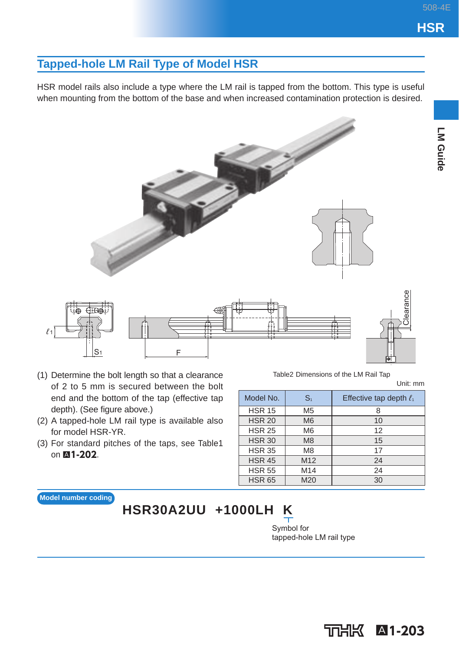LM Guide

### **Tapped-hole LM Rail Type of Model HSR**

HSR model rails also include a type where the LM rail is tapped from the bottom. This type is useful when mounting from the bottom of the base and when increased contamination protection is desired.



- (1) Determine the bolt length so that a clearance of 2 to 5 mm is secured between the bolt end and the bottom of the tap (effective tap depth). (See figure above.)
- (2) A tapped-hole LM rail type is available also for model HSR-YR.
- (3) For standard pitches of the taps, see Table1 on  $\blacksquare$ **1-202**.

Table2 Dimensions of the LM Rail Tap

Unit: mm

| Model No.     | S <sub>1</sub>  | Effective tap depth $\ell_1$ |
|---------------|-----------------|------------------------------|
| <b>HSR 15</b> | M <sub>5</sub>  |                              |
| <b>HSR 20</b> | M <sub>6</sub>  | 10                           |
| <b>HSR 25</b> | M <sub>6</sub>  | 12                           |
| <b>HSR 30</b> | M <sub>8</sub>  | 15                           |
| <b>HSR 35</b> | M <sub>8</sub>  | 17                           |
| <b>HSR 45</b> | M <sub>12</sub> | 24                           |
| <b>HSR 55</b> | M <sub>14</sub> | 24                           |
| <b>HSR 65</b> | M20             | 30                           |

**Model number coding**

## **HSR30A2UU +1000LH K**

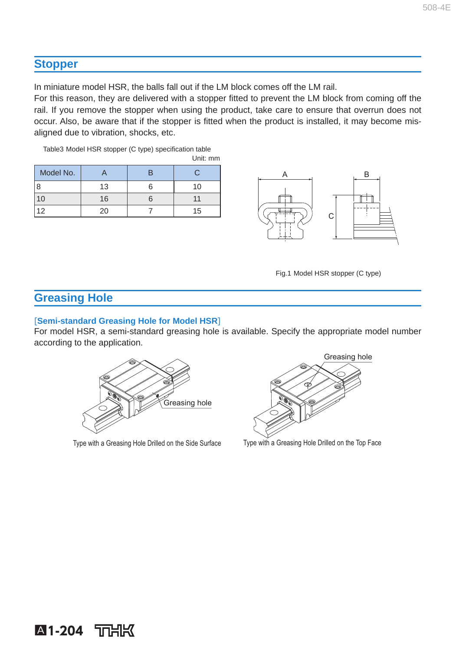### **Stopper**

In miniature model HSR, the balls fall out if the LM block comes off the LM rail.

For this reason, they are delivered with a stopper fitted to prevent the LM block from coming off the rail. If you remove the stopper when using the product, take care to ensure that overrun does not occur. Also, be aware that if the stopper is fitted when the product is installed, it may become misaligned due to vibration, shocks, etc.

Table3 Model HSR stopper (C type) specification table Unit: mm

| Model No. |    | œ  |
|-----------|----|----|
|           | 13 | 10 |
| $\cup$    | 16 |    |
| 2         | 20 | 15 |



Fig.1 Model HSR stopper (C type)

### **Greasing Hole**

### [**Semi-standard Greasing Hole for Model HSR**]

For model HSR, a semi-standard greasing hole is available. Specify the appropriate model number according to the application.



Type with a Greasing Hole Drilled on the Side Surface Type with a Greasing Hole Drilled on the Top Face